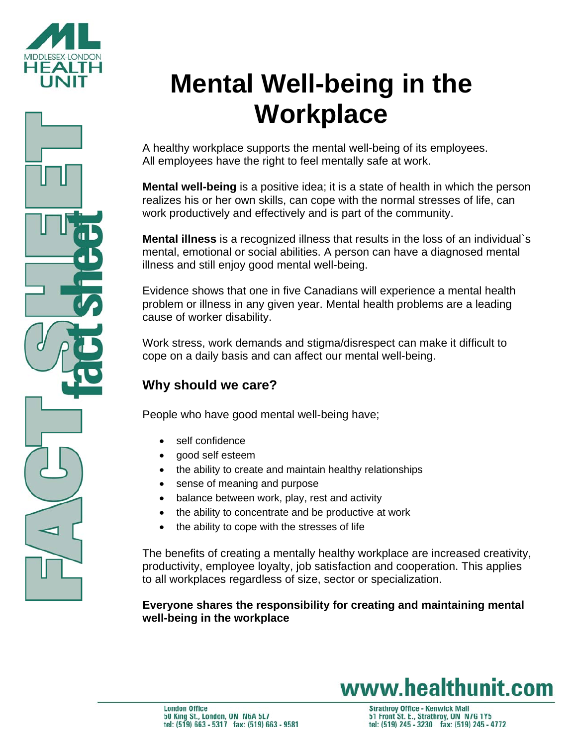



A healthy workplace supports the mental well-being of its employees. All employees have the right to feel mentally safe at work.

**Mental well-being** is a positive idea; it is a state of health in which the person realizes his or her own skills, can cope with the normal stresses of life, can work productively and effectively and is part of the community.

**Mental illness** is a recognized illness that results in the loss of an individual`s mental, emotional or social abilities. A person can have a diagnosed mental illness and still enjoy good mental well-being.

Evidence shows that one in five Canadians will experience a mental health problem or illness in any given year. Mental health problems are a leading cause of worker disability.

Work stress, work demands and stigma/disrespect can make it difficult to cope on a daily basis and can affect our mental well-being.

## **Why should we care?**

People who have good mental well-being have;

- self confidence
- good self esteem
- the ability to create and maintain healthy relationships
- sense of meaning and purpose
- balance between work, play, rest and activity
- the ability to concentrate and be productive at work
- the ability to cope with the stresses of life

The benefits of creating a mentally healthy workplace are increased creativity, productivity, employee loyalty, job satisfaction and cooperation. This applies to all workplaces regardless of size, sector or specialization.

**Everyone shares the responsibility for creating and maintaining mental well-being in the workplace**